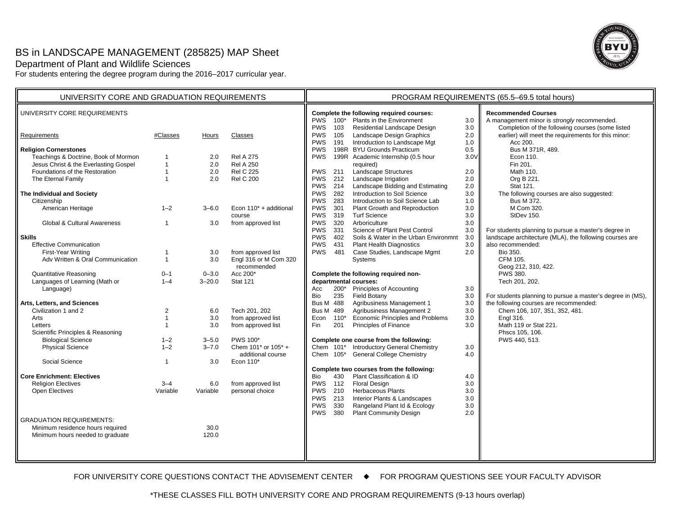# BS in LANDSCAPE MANAGEMENT (285825) MAP Sheet

## Department of Plant and Wildlife Sciences

For students entering the degree program during the 2016–2017 curricular year.



| UNIVERSITY CORE AND GRADUATION REQUIREMENTS         |                |            |                        | PROGRAM REQUIREMENTS (65.5-69.5 total hours) |                   |                                                                                                   |                   |                                                                                                                     |
|-----------------------------------------------------|----------------|------------|------------------------|----------------------------------------------|-------------------|---------------------------------------------------------------------------------------------------|-------------------|---------------------------------------------------------------------------------------------------------------------|
| UNIVERSITY CORE REQUIREMENTS                        |                |            |                        | <b>PWS</b>                                   | $100*$            | Complete the following required courses:<br>Plants in the Environment                             | 3.0               | <b>Recommended Courses</b><br>A management minor is strongly recommended.                                           |
| Requirements                                        | #Classes       | Hours      | Classes                | <b>PWS</b><br><b>PWS</b><br><b>PWS</b>       | 103<br>105<br>191 | <b>Residential Landscape Design</b><br>Landscape Design Graphics<br>Introduction to Landscape Mgt | 3.0<br>2.0<br>1.0 | Completion of the following courses (some listed<br>earlier) will meet the requirements for this minor:<br>Acc 200. |
| <b>Religion Cornerstones</b>                        |                |            |                        | <b>PWS</b>                                   |                   | 198R BYU Grounds Practicum                                                                        | 0.5               | Bus M 371R, 489.                                                                                                    |
| Teachings & Doctrine, Book of Mormon                | $\overline{1}$ | 2.0        | <b>Rel A 275</b>       | <b>PWS</b>                                   |                   | 199R Academic Internship (0.5 hour                                                                | 3.0V              | Econ 110.                                                                                                           |
| Jesus Christ & the Everlasting Gospel               | $\overline{1}$ | 2.0        | <b>Rel A 250</b>       |                                              |                   | required)                                                                                         |                   | Fin 201.                                                                                                            |
| Foundations of the Restoration                      | $\overline{1}$ | 2.0        | <b>Rel C 225</b>       | <b>PWS</b>                                   | 211               | Landscape Structures                                                                              | 2.0               | Math 110.                                                                                                           |
| The Eternal Family                                  | $\overline{1}$ | 2.0        | <b>Rel C 200</b>       | <b>PWS</b>                                   | 212               | Landscape Irrigation                                                                              | 2.0               | Org B 221.                                                                                                          |
|                                                     |                |            |                        | <b>PWS</b>                                   | 214               | Landscape Bidding and Estimating                                                                  | 2.0               | Stat 121.                                                                                                           |
| The Individual and Society                          |                |            |                        | <b>PWS</b>                                   | 282               | Introduction to Soil Science                                                                      | 3.0               | The following courses are also suggested:                                                                           |
| Citizenship                                         |                |            |                        | <b>PWS</b>                                   | 283               | Introduction to Soil Science Lab                                                                  | 1.0               | Bus M 372.                                                                                                          |
| American Heritage                                   | $1 - 2$        | $3 - 6.0$  | Econ 110* + additional | <b>PWS</b>                                   | 301               | Plant Growth and Reproduction                                                                     | 3.0               | M Com 320.                                                                                                          |
|                                                     |                |            | course                 | <b>PWS</b>                                   | 319               | <b>Turf Science</b>                                                                               | 3.0               | StDev 150.                                                                                                          |
| Global & Cultural Awareness                         | -1             | 3.0        | from approved list     | <b>PWS</b>                                   | 320               | Arboriculture                                                                                     | 3.0               |                                                                                                                     |
|                                                     |                |            |                        | <b>PWS</b>                                   | 331               | Science of Plant Pest Control                                                                     | 3.0               | For students planning to pursue a master's degree in                                                                |
| <b>Skills</b>                                       |                |            |                        | <b>PWS</b>                                   | 402               | Soils & Water in the Urban Environmnt                                                             | 3.0               | landscape architecture (MLA), the following courses are                                                             |
| <b>Effective Communication</b>                      |                |            |                        | <b>PWS</b>                                   | 431               | <b>Plant Health Diagnostics</b>                                                                   | 3.0               | also recommended:                                                                                                   |
| First-Year Writing                                  | -1             | 3.0        | from approved list     | <b>PWS</b>                                   |                   | 481 Case Studies, Landscape Mgmt                                                                  | 2.0               | Bio 350.                                                                                                            |
| Adv Written & Oral Communication                    | $\overline{1}$ | 3.0        | Engl 316 or M Com 320  |                                              |                   | Systems                                                                                           |                   | <b>CFM 105.</b>                                                                                                     |
|                                                     |                |            | recommended            |                                              |                   |                                                                                                   |                   | Geog 212, 310, 422.                                                                                                 |
| <b>Quantitative Reasoning</b>                       | $0 - 1$        | $0 - 3.0$  | Acc 200*               |                                              |                   | Complete the following required non-                                                              |                   | PWS 380.                                                                                                            |
| Languages of Learning (Math or                      | $1 - 4$        | $3 - 20.0$ | <b>Stat 121</b>        |                                              |                   | departmental courses:                                                                             |                   | Tech 201, 202.                                                                                                      |
| Language)                                           |                |            |                        | Acc                                          |                   | 200* Principles of Accounting                                                                     | 3.0               |                                                                                                                     |
|                                                     |                |            |                        | Bio                                          | 235               | <b>Field Botany</b>                                                                               | 3.0               | For students planning to pursue a master's degree in (MS),                                                          |
| Arts, Letters, and Sciences<br>Civilization 1 and 2 | $\overline{2}$ |            | Tech 201, 202          | <b>Bus M</b> 488                             |                   | Agribusiness Management 1<br>Agribusiness Management 2                                            | 3.0               | the following courses are recommended:<br>Chem 106, 107, 351, 352, 481.                                             |
| Arts                                                | $\overline{1}$ | 6.0<br>3.0 | from approved list     | <b>Bus M 489</b><br>Econ                     | $110*$            | Economic Principles and Problems                                                                  | 3.0<br>3.0        | Engl 316.                                                                                                           |
| Letters                                             | $\overline{1}$ | 3.0        | from approved list     | <b>Fin</b>                                   | 201               | Principles of Finance                                                                             | 3.0               | Math 119 or Stat 221.                                                                                               |
| Scientific Principles & Reasoning                   |                |            |                        |                                              |                   |                                                                                                   |                   | Phscs 105, 106.                                                                                                     |
| <b>Biological Science</b>                           | $1 - 2$        | $3 - 5.0$  | <b>PWS 100*</b>        |                                              |                   | Complete one course from the following:                                                           |                   | PWS 440, 513.                                                                                                       |
| <b>Physical Science</b>                             | $1 - 2$        | $3 - 7.0$  | Chem 101* or 105* +    | Chem 101*                                    |                   | <b>Introductory General Chemistry</b>                                                             | 3.0               |                                                                                                                     |
|                                                     |                |            | additional course      |                                              |                   | Chem 105* General College Chemistry                                                               | 4.0               |                                                                                                                     |
| Social Science                                      | -1             | 3.0        | Econ 110*              |                                              |                   |                                                                                                   |                   |                                                                                                                     |
|                                                     |                |            |                        |                                              |                   | Complete two courses from the following:                                                          |                   |                                                                                                                     |
| <b>Core Enrichment: Electives</b>                   |                |            |                        | Bio                                          | 430               | Plant Classification & ID                                                                         | 4.0               |                                                                                                                     |
| <b>Religion Electives</b>                           | $3 - 4$        | 6.0        | from approved list     | <b>PWS</b>                                   | 112               | <b>Floral Design</b>                                                                              | 3.0               |                                                                                                                     |
| <b>Open Electives</b>                               | Variable       | Variable   | personal choice        | <b>PWS</b>                                   | 210               | <b>Herbaceous Plants</b>                                                                          | 3.0               |                                                                                                                     |
|                                                     |                |            |                        | <b>PWS</b>                                   | 213               | Interior Plants & Landscapes                                                                      | 3.0               |                                                                                                                     |
|                                                     |                |            |                        | <b>PWS</b>                                   | 330               | Rangeland Plant Id & Ecology                                                                      | 3.0               |                                                                                                                     |
|                                                     |                |            |                        | <b>PWS</b>                                   | 380               | <b>Plant Community Design</b>                                                                     | 2.0               |                                                                                                                     |
| <b>GRADUATION REQUIREMENTS:</b>                     |                |            |                        |                                              |                   |                                                                                                   |                   |                                                                                                                     |
| Minimum residence hours required                    |                | 30.0       |                        |                                              |                   |                                                                                                   |                   |                                                                                                                     |
| Minimum hours needed to graduate                    |                | 120.0      |                        |                                              |                   |                                                                                                   |                   |                                                                                                                     |
|                                                     |                |            |                        |                                              |                   |                                                                                                   |                   |                                                                                                                     |
|                                                     |                |            |                        |                                              |                   |                                                                                                   |                   |                                                                                                                     |
|                                                     |                |            |                        |                                              |                   |                                                                                                   |                   |                                                                                                                     |

FOR UNIVERSITY CORE QUESTIONS CONTACT THE ADVISEMENT CENTER ♦ FOR PROGRAM QUESTIONS SEE YOUR FACULTY ADVISOR

\*THESE CLASSES FILL BOTH UNIVERSITY CORE AND PROGRAM REQUIREMENTS (9-13 hours overlap)